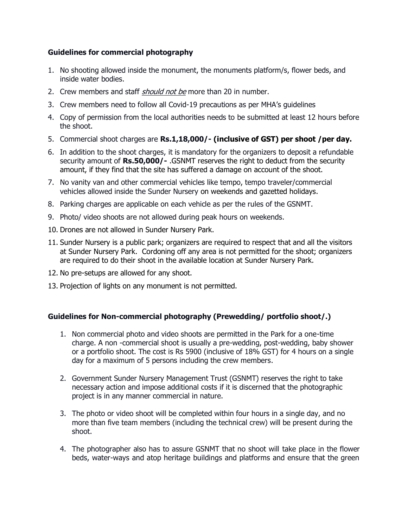## **Guidelines for commercial photography**

- 1. No shooting allowed inside the monument, the monuments platform/s, flower beds, and inside water bodies.
- 2. Crew members and staff *should not be* more than 20 in number.
- 3. Crew members need to follow all Covid-19 precautions as per MHA's guidelines
- 4. Copy of permission from the local authorities needs to be submitted at least 12 hours before the shoot.
- 5. Commercial shoot charges are **Rs.1,18,000/- (inclusive of GST) per shoot /per day.**
- 6. In addition to the shoot charges, it is mandatory for the organizers to deposit a refundable security amount of **Rs.50,000/-** .GSNMT reserves the right to deduct from the security amount, if they find that the site has suffered a damage on account of the shoot.
- 7. No vanity van and other commercial vehicles like tempo, tempo traveler/commercial vehicles allowed inside the Sunder Nursery on weekends and gazetted holidays.
- 8. Parking charges are applicable on each vehicle as per the rules of the GSNMT.
- 9. Photo/ video shoots are not allowed during peak hours on weekends.
- 10. Drones are not allowed in Sunder Nursery Park.
- 11. Sunder Nursery is a public park; organizers are required to respect that and all the visitors at Sunder Nursery Park. Cordoning off any area is not permitted for the shoot; organizers are required to do their shoot in the available location at Sunder Nursery Park.
- 12. No pre-setups are allowed for any shoot.
- 13. Projection of lights on any monument is not permitted.

# **Guidelines for Non-commercial photography (Prewedding/ portfolio shoot/.)**

- 1. Non commercial photo and video shoots are permitted in the Park for a one-time charge. A non -commercial shoot is usually a pre-wedding, post-wedding, baby shower or a portfolio shoot. The cost is Rs 5900 (inclusive of 18% GST) for 4 hours on a single day for a maximum of 5 persons including the crew members.
- 2. Government Sunder Nursery Management Trust (GSNMT) reserves the right to take necessary action and impose additional costs if it is discerned that the photographic project is in any manner commercial in nature.
- 3. The photo or video shoot will be completed within four hours in a single day, and no more than five team members (including the technical crew) will be present during the shoot.
- 4. The photographer also has to assure GSNMT that no shoot will take place in the flower beds, water-ways and atop heritage buildings and platforms and ensure that the green